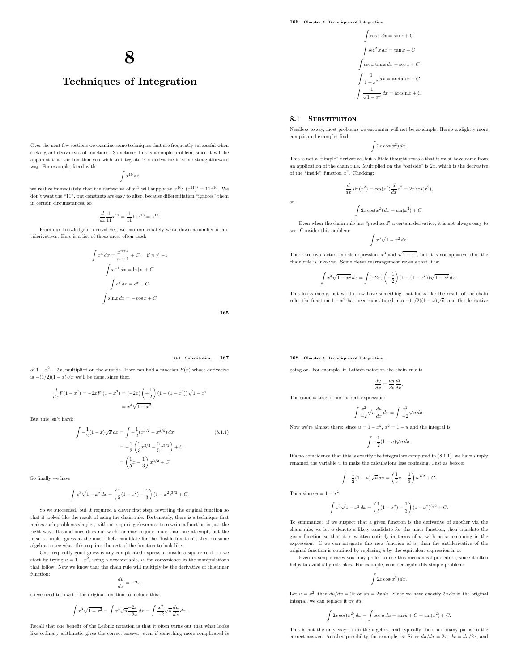$$
\int \cos x \, dx = \sin x + C
$$

$$
\int \sec^2 x \, dx = \tan x + C
$$

$$
\int \sec x \tan x \, dx = \sec x + C
$$

$$
\int \frac{1}{1+x^2} \, dx = \arctan x + C
$$

$$
\int \frac{1}{\sqrt{1-x^2}} \, dx = \arcsin x + C
$$

### 8.1 SUBSTITUTION

Needless to say, most problems we encounter will not be so simple. Here's a slightly more complicated example: find

$$
\int 2x \cos(x^2) \, dx.
$$

This is not a "simple" derivative, but a little thought reveals that it must have come from an application of the chain rule. Multiplied on the "outside" is  $2x$ , which is the derivative of the "inside" function  $x^2$ . Checking:

 $\frac{d}{dx}\sin(x^2) = \cos(x^2)\frac{d}{dx}x^2 = 2x\cos(x^2),$ 

so

$$
\int 2x \cos(x^2) dx = \sin(x^2) + C.
$$

Even when the chain rule has "produced" a certain derivative, it is not always easy to see. Consider this problem:

$$
\int x^3 \sqrt{1-x^2} \, dx.
$$

There are two factors in this expression,  $x^3$  and  $\sqrt{1-x^2}$ , but it is not apparent that the chain rule is involved. Some clever rearrangement reveals that it is:

$$
\int x^3 \sqrt{1 - x^2} \, dx = \int (-2x) \left( -\frac{1}{2} \right) (1 - (1 - x^2)) \sqrt{1 - x^2} \, dx.
$$

This looks messy, but we do now have something that looks like the result of the chain rule: the function  $1 - x^2$  has been substituted into  $-(1/2)(1-x)\sqrt{x}$ , and the derivative

### 168 Chapter 8 Techniques of Integration

going on. For example, in Leibniz notation the chain rule is

$$
\frac{dy}{dx} = \frac{dy}{dt}\frac{dt}{dx}.
$$

The same is true of our current expression:

$$
\int \frac{x^2}{-2} \sqrt{u} \frac{du}{dx} dx = \int \frac{x^2}{-2} \sqrt{u} du.
$$

Now we're almost there: since  $u = 1 - x^2$ ,  $x^2 = 1 - u$  and the integral is

$$
\int -\frac{1}{2}(1-u)\sqrt{u}\,du.
$$

It's no coincidence that this is exactly the integral we computed in (8.1.1), we have simply renamed the variable  $\boldsymbol{u}$  to make the calculations less confusing. Just as before:

$$
\int -\frac{1}{2}(1-u)\sqrt{u}\,du = \left(\frac{1}{5}u - \frac{1}{3}\right)u^{3/2} + C.
$$

Then since  $u = 1 - x^2$ :

$$
\int x^3 \sqrt{1 - x^2} \, dx = \left(\frac{1}{5}(1 - x^2) - \frac{1}{3}\right)(1 - x^2)^{3/2} + C.
$$

To summarize: if we suspect that a given function is the derivative of another via the chain rule, we let u denote a likely candidate for the inner function, then translate the given function so that it is written entirely in terms of  $u$ , with no  $x$  remaining in the expression. If we can integrate this new function of u, then the antiderivative of the original function is obtained by replacing  $u$  by the equivalent expression in  $x$ .

Even in simple cases you may prefer to use this mechanical procedure, since it often helps to avoid silly mistakes. For example, consider again this simple problem:

$$
\int 2x \cos(x^2) \, dx.
$$

Let  $u = x^2$ , then  $du/dx = 2x$  or  $du = 2x dx$ . Since we have exactly  $2x dx$  in the original integral, we can replace it by  $du$ :

$$
\int 2x \cos(x^2) \, dx = \int \cos u \, du = \sin u + C = \sin(x^2) + C.
$$

This is not the only way to do the algebra, and typically there are many paths to the correct answer. Another possibility, for example, is: Since  $du/dx = 2x$ ,  $dx = du/2x$ , and

8

## Techniques of Integration

Over the next few sections we examine some techniques that are frequently successful when seeking antiderivatives of functions. Sometimes this is a simple problem, since it will be apparent that the function you wish to integrate is a derivative in some straightforward way. For example, faced with

$$
\int x^{10} \, dx
$$

we realize immediately that the derivative of  $x^{11}$  will supply an  $x^{10}$ :  $(x^{11})' = 11x^{10}$ . We don't want the "11", but constants are easy to alter, because differentiation "ignores" them in certain circumstances, so

$$
\frac{d}{dx}\frac{1}{11}x^{11} = \frac{1}{11}11x^{10} = x^{10}.
$$

From our knowledge of derivatives, we can immediately write down a number of antiderivatives. Here is a list of those most often used:

$$
\int x^n dx = \frac{x^{n+1}}{n+1} + C, \quad \text{if } n \neq -1
$$

$$
\int x^{-1} dx = \ln|x| + C
$$

$$
\int e^x dx = e^x + C
$$

$$
\int \sin x dx = -\cos x + C
$$

165

### 8.1 Substitution 167

of  $1 - x^2$ ,  $-2x$ , multiplied on the outside. If we can find a function  $F(x)$  whose derivative is  $-(1/2)(1-x)\sqrt{x}$  we'll be done, since then

$$
\frac{d}{dx}F(1-x^2) = -2xF'(1-x^2) = (-2x)\left(-\frac{1}{2}\right)(1-(1-x^2))\sqrt{1-x^2}
$$

$$
= x^3\sqrt{1-x^2}
$$

But this isn't hard:

$$
\int -\frac{1}{2}(1-x)\sqrt{x}\,dx = \int -\frac{1}{2}(x^{1/2} - x^{3/2})\,dx
$$
\n
$$
= -\frac{1}{2}\left(\frac{2}{3}x^{3/2} - \frac{2}{5}x^{5/2}\right) + C
$$
\n
$$
= \left(\frac{1}{5}x - \frac{1}{3}\right)x^{3/2} + C.
$$
\n(8.1.1)

So finally we have

$$
\int x^3 \sqrt{1-x^2} \, dx = \left(\frac{1}{5}(1-x^2) - \frac{1}{3}\right) (1-x^2)^{3/2} + C.
$$

So we succeeded, but it required a clever first step, rewriting the original function so that it looked like the result of using the chain rule. Fortunately, there is a technique that makes such problems simpler, without requiring cleverness to rewrite a function in just the right way. It sometimes does not work, or may require more than one attempt, but the idea is simple: guess at the most likely candidate for the "inside function", then do some algebra to see what this requires the rest of the function to look like.

One frequently good guess is any complicated expression inside a square root, so we start by trying  $u = 1 - x^2$ , using a new variable, u, for convenience in the manipulations that follow. Now we know that the chain rule will multiply by the derivative of this inner function:

$$
\frac{du}{dx} = -2x,
$$

so we need to rewrite the original function to include this:

$$
\int x^3 \sqrt{1 - x^2} = \int x^3 \sqrt{u - 2x} \, dx = \int \frac{x^2}{-2} \sqrt{u} \frac{du}{dx} \, dx.
$$

Recall that one benefit of the Leibniz notation is that it often turns out that what looks like ordinary arithmetic gives the correct answer, even if something more complicated is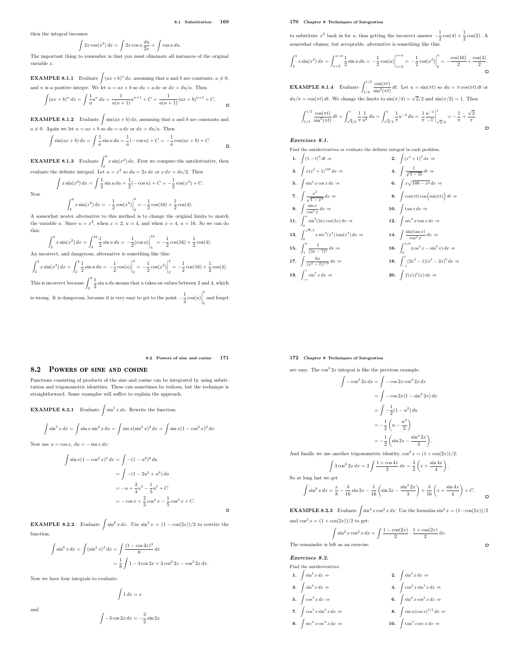$\Box$ 

 $\overline{a}$ 

then the integral becomes

Now

Z

$$
2x\cos(x^2) dx = \int 2x\cos u \frac{du}{2x} = \int \cos u \, du.
$$

The important thing to remember is that you must eliminate all instances of the original variable x.

**EXAMPLE 8.1.1** Evaluate  $\int (ax+b)^n dx$ , assuming that a and b are constants,  $a \neq 0$ , and *n* is a positive integer. We let  $u = ax + b$  so  $du = a dx$  or  $dx = du/a$ . Then

$$
\int (ax+b)^n dx = \int \frac{1}{a}u^n du = \frac{1}{a(n+1)}u^{n+1} + C = \frac{1}{a(n+1)}(ax+b)^{n+1} + C.
$$

**EXAMPLE 8.1.2** Evaluate  $\int \sin(ax+b) dx$ , assuming that a and b are constants and  $a \neq 0$ . Again we let  $u = ax + b$  so  $du = a dx$  or  $dx = du/a$ . Then

$$
\int \sin(ax+b) \, dx = \int \frac{1}{a} \sin u \, du = \frac{1}{a} (-\cos u) + C = -\frac{1}{a} \cos(ax+b) + C.
$$

**EXAMPLE 8.1.3** Evaluate  $\int_0^4 x \sin(x^2) dx$ . First we compute the antiderivative, then valuate the definite integral. Let  $u = x^2$  so  $du = 2x dx$  or  $x dx = du/2$ . Then

$$
\int x \sin(x^2) dx = \int \frac{1}{2} \sin u du = \frac{1}{2} (-\cos u) + C = -\frac{1}{2} \cos(x^2) + C.
$$

 $\int_{2}^{4} x \sin(x^{2}) dx = -\frac{1}{2}$  $\frac{1}{2}\cos(x^2)$  $\begin{array}{ccc} \n\sqrt{2} & 2 & 2 \\
\end{array}$  A somewhat neater alternative to this method is to change the original limits to match  $\frac{1}{2} = -\frac{1}{2}$  $\frac{1}{2}\cos(16) + \frac{1}{2}\cos(4).$ the variable u. Since  $u = x^2$ , when  $x = 2$ ,  $u = 4$ , and when  $x = 4$ ,  $u = 16$ . So we can do this:

$$
\int_2^4 x \sin(x^2) dx = \int_4^{16} \frac{1}{2} \sin u du = -\frac{1}{2} (\cos u) \Big|_4^{16} = -\frac{1}{2} \cos(16) + \frac{1}{2} \cos(4).
$$
  
An incorrect, and dangerous, alternative is something like this:

 $\int_0^4$  $\int_{2}^{4} x \sin(x^2) dx = \int_{2}^{4}$ 2 1  $\frac{1}{2}\sin u \, du = -\frac{1}{2}$  $\frac{1}{2} \cos(u)$ 4  $\frac{1}{2} = -\frac{1}{2}$  $\frac{1}{2}\cos(x^2)$ 4  $\frac{1}{2} = -\frac{1}{2}$  $\frac{1}{2}\cos(16) + \frac{1}{2}\cos(4).$ This is incorrect because  $\int_2^4$ 1

 $\frac{1}{2}$  sin *u du* means that *u* takes on values between 2 and 4, which is wrong. It is dangerous, because it is very easy to get to the point  $-\frac{1}{2}$  $\frac{1}{2} \cos(u)$ 4 2 and forget

#### 8.2 Powers of sine and cosine 171

 $\overline{a}$ 

### 8.2 POWERS OF SINE AND COSINE

Functions consisting of products of the sine and cosine can be integrated by using substitution and trigonometric identities. These can sometimes be tedious, but the technique is straightforward. Some examples will suffice to explain the approach.

**EXAMPLE 8.2.1** Evaluate  $\int \sin^5 x \, dx$ . Rewrite the function:

$$
\int \sin^5 x \, dx = \int \sin x \sin^4 x \, dx = \int \sin x (\sin^2 x)^2 \, dx = \int \sin x (1 - \cos^2 x)^2 \, dx.
$$

Now use  $u = \cos x$ ,  $du = -\sin x dx$ :

$$
\int \sin x (1 - \cos^2 x)^2 dx = \int -(1 - u^2)^2 du
$$
  
= 
$$
\int -(1 - 2u^2 + u^4) du
$$
  
= 
$$
-u + \frac{2}{3}u^3 - \frac{1}{5}u^5 + C
$$
  
= 
$$
-\cos x + \frac{2}{3}\cos^3 x - \frac{1}{5}\cos^5 x + C.
$$

**EXAMPLE 8.2.2** Evaluate  $\int \sin^6 x \, dx$ . Use  $\sin^2 x = (1 - \cos(2x))/2$  to rewrite the function:

$$
\int \sin^6 x \, dx = \int (\sin^2 x)^3 \, dx = \int \frac{(1 - \cos 2x)^3}{8} \, dx
$$

$$
= \frac{1}{8} \int 1 - 3 \cos 2x + 3 \cos^2 2x - \cos^3 2x \, dx.
$$

Now we have four integrals to evaluate:

 $\int 1 dx = x$ 

Z

$$
-3\cos 2x \, dx = -\frac{3}{2}\sin 2x
$$

### 170 Chapter 8 Techniques of Integration

to substitute  $x^2$  back in for u, thus getting the incorrect answer  $-\frac{1}{2}$  $\frac{1}{2}\cos(4) + \frac{1}{2}\cos(2)$ . A somewhat clumsy, but acceptable, alternative is something like this:

$$
\int_{2}^{4} x \sin(x^{2}) dx = \int_{x=2}^{x=4} \frac{1}{2} \sin u du = -\frac{1}{2} \cos(u) \Big|_{x=2}^{x=4} = -\frac{1}{2} \cos(x^{2}) \Big|_{2}^{4} = -\frac{\cos(16)}{2} + \frac{\cos(4)}{2}.
$$

**EXAMPLE 8.1.4** Evaluate  $\int_{1/4}^{1/2}$  $\frac{\cos(\pi t)}{\sin^2(\pi t)} dt$ . Let  $u = \sin(\pi t)$  so  $du = \pi \cos(\pi t) dt$  or  $du/\pi = \cos(\pi t) dt$ . We change the limits to  $\sin(\pi/4) = \sqrt{2}/2$  and  $\sin(\pi/2) = 1$ . Then

$$
\int_{1/4}^{1/2} \frac{\cos(\pi t)}{\sin^2(\pi t)} dt = \int_{\sqrt{2}/2}^1 \frac{1}{\pi} \frac{1}{u^2} du = \int_{\sqrt{2}/2}^1 \frac{1}{\pi} u^{-2} du = \left. \frac{1}{\pi} \frac{u^{-1}}{-1} \right|_{\sqrt{2}/2}^1 = -\frac{1}{\pi} + \frac{\sqrt{2}}{\pi}
$$

.

 $\Box$ 

 $\Box$ 

 $\Box$ 

### Exercises 8.1.

Find the antiderivatives or evaluate the definite integral in each problem.

1. 
$$
\int (1-t)^9 dt \Rightarrow
$$
  
\n2.  $\int (x^2 + 1)^2 dx \Rightarrow$   
\n3.  $\int x(x^2 + 1)^{100} dx \Rightarrow$   
\n4.  $\int \frac{1}{\sqrt[3]{1-5t}} dt \Rightarrow$   
\n5.  $\int \sin^3 x \cos x dx \Rightarrow$   
\n6.  $\int x \sqrt{100-x^2} dx \Rightarrow$   
\n7.  $\int \frac{x^2}{\sqrt{1-x^3}} dx \Rightarrow$   
\n8.  $\int \cos(\pi t) \cos(\sin(\pi t)) dt \Rightarrow$   
\n9.  $\int \frac{\sin x}{\cos^2 x} dx \Rightarrow$   
\n10.  $\int \tan x dx \Rightarrow$   
\n11.  $\int_0^{\pi} \sin^5(3x) \cos(3x) dx \Rightarrow$   
\n12.  $\int \sec^2 x \tan x dx \Rightarrow$   
\n13.  $\int_0^{\sqrt{\pi}/2} x \sec^2(x^2) \tan(x^2) dx \Rightarrow$   
\n14.  $\int \frac{\sin(\tan x)}{\cos^2 x} dx \Rightarrow$   
\n15.  $\int_3^4 \frac{1}{(3x-7)^2} dx \Rightarrow$   
\n16.  $\int_0^{\pi/6} (\cos^2 x - \sin^2 x) dx \Rightarrow$   
\n17.  $\int \frac{6x}{(x^2-7)^{1/9}} dx \Rightarrow$   
\n18.  $\int_{-1}^{1} (2x^3 - 1)(x^4 - 2x)^6 dx \Rightarrow$   
\n19.  $\int_{-1}^{1} \sin^7 x dx \Rightarrow$   
\n20.  $\int f(x) f'(x) dx \Rightarrow$ 

### 172 Chapter 8 Techniques of Integration

are easy. The  $\cos^3 2x$  integral is like the previous example:

$$
\int -\cos^3 2x \, dx = \int -\cos 2x \cos^2 2x \, dx
$$

$$
= \int -\cos 2x (1 - \sin^2 2x) \, dx
$$

$$
= \int -\frac{1}{2} (1 - u^2) \, du
$$

$$
= -\frac{1}{2} \left( u - \frac{u^3}{3} \right)
$$

$$
= -\frac{1}{2} \left( \sin 2x - \frac{\sin^3 2x}{3} \right).
$$

And finally we use another trigonometric identity,  $\cos^2 x = (1 + \cos(2x))/2$ :

$$
\int 3\cos^2 2x \, dx = 3 \int \frac{1 + \cos 4x}{2} \, dx = \frac{3}{2} \left( x + \frac{\sin 4x}{4} \right).
$$
  
long last we get  

$$
\int \sin^6 x \, dx = \frac{x}{8} - \frac{3}{16} \sin 2x - \frac{1}{16} \left( \sin 2x - \frac{\sin^3 2x}{3} \right) + \frac{3}{16} \left( x + \frac{\sin 4x}{4} \right) + C.
$$

**EXAMPLE 8.2.3** Evaluate  $\int \sin^2 x \cos^2 x \, dx$ . Use the formulas  $\sin^2 x = (1 - \cos(2x))/2$ and  $\cos^2 x = (1 + \cos(2x))/2$  to get:

$$
\sin^2 x \cos^2 x \, dx = \int \frac{1 - \cos(2x)}{2} \cdot \frac{1 + \cos(2x)}{2} \, dx.
$$

The remainder is left as an exercise.

Z

Exercises 8.2.

So at

Find the antiderivatives. 1.  $\int \sin^2 x \, dx \Rightarrow$  2.

- 3.  $\int \sin^4 x \, dx \Rightarrow$  4.  $\cos^2 x \sin^3 x dx \Rightarrow$ 5.  $\int \cos^3 x \, dx \Rightarrow$  6.  $\sin^2 x \cos^2 x dx \Rightarrow$
- 7.  $\int \cos^3 x \sin^2 x \, dx \Rightarrow$  8.  $\sin x (\cos x)^{3/2} dx \Rightarrow$
- 9.  $\int \sec^2 x \csc^2 x \, dx \Rightarrow$  10.
	- $\tan^3 x \sec x \, dx \Rightarrow$

 $\sin^3 x \, dx \Rightarrow$ 

and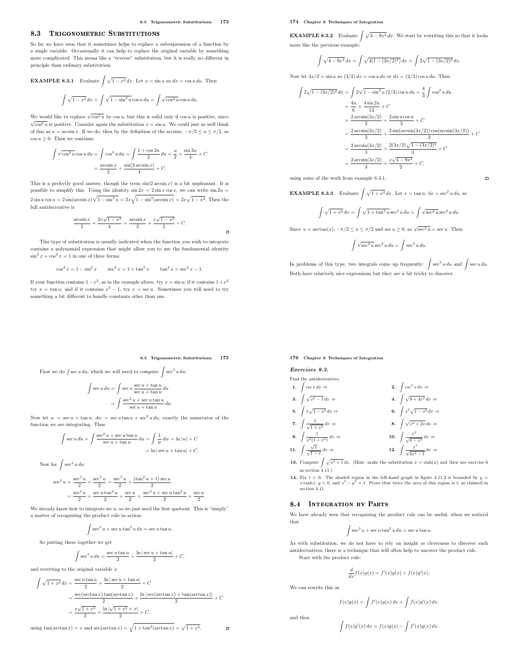### 8.3 TRIGONOMETRIC SUBSTITUTIONS

So far we have seen that it sometimes helps to replace a subexpression of a function by a single variable. Occasionally it can help to replace the original variable by something more complicated. This seems like a "reverse" substitution, but it is really no different in principle than ordinary substitution.

**EXAMPLE 8.3.1** Evaluate 
$$
\int \sqrt{1 - x^2} dx
$$
. Let  $x = \sin u$  so  $dx = \cos u du$ . Then  

$$
\int \sqrt{1 - x^2} dx = \int \sqrt{1 - \sin^2 u} \cos u du = \int \sqrt{\cos^2 u} \cos u du.
$$

We would like to replace  $\sqrt{\cos^2 u}$  by  $\cos u$ , but this is valid only if  $\cos u$  is positive, since  $\sqrt{\cos^2 u}$  is positive. Consider again the substitution  $x = \sin u$ . We could just as well think of this as  $u = \arcsin x$ . If we do, then by the definition of the arcsine,  $-\pi/2 \le u \le \pi/2$ , so  $\cos u > 0$ . Then we continue:

$$
\int \sqrt{\cos^2 u} \cos u \, du = \int \cos^2 u \, du = \int \frac{1 + \cos 2u}{2} \, du = \frac{u}{2} + \frac{\sin 2u}{4} + C
$$

$$
= \frac{\arcsin x}{2} + \frac{\sin(2 \arcsin x)}{4} + C.
$$

This is a perfectly good answer, though the term  $sin(2 arcsin x)$  is a bit unpleasant. It is possible to simplify this. Using the identity  $\sin 2x = 2 \sin x \cos x$ , we can write  $\sin 2u =$  $2 \sin u \cos u = 2 \sin(\arcsin x) \sqrt{1 - \sin^2 u} = 2x \sqrt{1 - \sin^2(\arcsin x)} = 2x \sqrt{1 - x^2}$ . Then the full antiderivative is

$$
\frac{\arcsin x}{2} + \frac{2x\sqrt{1-x^2}}{4} = \frac{\arcsin x}{2} + \frac{x\sqrt{1-x^2}}{2} + C.
$$

This type of substitution is usually indicated when the function you wish to integrate contains a polynomial expression that might allow you to use the fundamental identity  $\sin^2 x + \cos^2 x = 1$  in one of three forms:

$$
\cos^2 x = 1 - \sin^2 x \qquad \sec^2 x = 1 + \tan^2 x \qquad \tan^2 x = \sec^2 x - 1.
$$

If your function contains  $1-x^2$ , as in the example above, try  $x = \sin u$ ; if it contains  $1+x^2$ try  $x = \tan u$ ; and if it contains  $x^2 - 1$ , try  $x = \sec u$ . Sometimes you will need to try something a bit different to handle constants other than one.

### 174 Chapter 8 Techniques of Integration

**EXAMPLE 8.3.2** Evaluate  $\int \sqrt{4 - 9x^2} dx$ . We start by rewriting this so that it looks more like the previous example:

$$
\int \sqrt{4 - 9x^2} \, dx = \int \sqrt{4(1 - (3x/2)^2)} \, dx = \int 2\sqrt{1 - (3x/2)^2} \, dx.
$$

Now let  $3x/2 = \sin u$  so  $(3/2) dx = \cos u du$  or  $dx = (2/3) \cos u du$ . Then

$$
\int 2\sqrt{1 - (3x/2)^2} \, dx = \int 2\sqrt{1 - \sin^2 u} \, (2/3) \cos u \, du = \frac{4}{3} \int \cos^2 u \, du
$$

$$
= \frac{4u}{6} + \frac{4 \sin 2u}{12} + C
$$

$$
= \frac{2 \arcsin(3x/2)}{3} + \frac{2 \sin u \cos u}{3} + C
$$

$$
= \frac{2 \arcsin(3x/2)}{3} + \frac{2 \sin\left(\arcsin(3x/2)\right) \cos\left(\arcsin(3x/2)\right)}{3} + C
$$

$$
= \frac{2 \arcsin(3x/2)}{3} + \frac{2(3x/2)\sqrt{1 - (3x/2)^2}}{3} + C
$$

$$
= \frac{2 \arcsin(3x/2)}{3} + \frac{x\sqrt{4 - 9x^2}}{2} + C,
$$

using some of the work from example 8.3.1.

# **EXAMPLE 8.3.3** Evaluate  $\int \sqrt{1 + x^2} dx$ . Let  $x = \tan u$ ,  $dx = \sec^2 u du$ , so

$$
\int \sqrt{1+x^2} \, dx = \int \sqrt{1+\tan^2 u} \sec^2 u \, du = \int \sqrt{\sec^2 u} \sec^2 u \, du.
$$

 $\overline{a}$ 

Since  $u = \arctan(x)$ ,  $-\pi/2 \le u \le \pi/2$  and sec  $u \ge 0$ , so  $\sqrt{\sec^2 u} = \sec u$ . Then

$$
\int \sqrt{\sec^2 u} \sec^2 u \, du = \int \sec^3 u \, du.
$$

In problems of this type, two integrals come up frequently:  $\int \sec^3 u \, du$  and  $\int \sec u \, du$ . Both have relatively nice expressions but they are a bit tricky to discover.

### 8.3 Trigonometric Substitutions 175

 $\overline{a}$ 

First we do  $\int \sec u \, du$ , which we will need to compute  $\int \sec^3 u \, du$ :

$$
\begin{aligned} \int \sec u \, du &= \int \sec u \, \frac{\sec u + \tan u}{\sec u + \tan u} \, du \\ &= \int \frac{\sec^2 u + \sec u \tan u}{\sec u + \tan u} \, du. \end{aligned}
$$

Now let  $w = \sec u + \tan u$ ,  $dw = \sec u \tan u + \sec^2 u du$ , exactly the numerator of the function we are integrating. Thus

$$
\int \sec u \, du = \int \frac{\sec^2 u + \sec u \tan u}{\sec u + \tan u} \, du = \int \frac{1}{w} \, dw = \ln |w| + C
$$

$$
= \ln |\sec u + \tan u| + C.
$$

Now for  $\int \sec^3 u \, du$ :

$$
\begin{aligned} \sec^3 u &= \frac{\sec^3 u}{2} + \frac{\sec^3 u}{2} = \frac{\sec^3 u}{2} + \frac{(\tan^2 u + 1)\sec u}{2} \\ &= \frac{\sec^3 u}{2} + \frac{\sec u \tan^2 u}{2} + \frac{\sec u}{2} = \frac{\sec^3 u + \sec u \tan^2 u}{2} + \frac{\sec u}{2}. \end{aligned}
$$

We already know how to integrate  $sec u$ , so we just need the first quotient. This is "simply" a matter of recognizing the product rule in action:

$$
\int \sec^3 u + \sec u \tan^2 u \, du = \sec u \tan u.
$$

So putting these together we get

Z

$$
\int \sec^3 u \, du = \frac{\sec u \tan u}{2} + \frac{\ln|\sec u + \tan u|}{2} + C,
$$

and reverting to the original variable  $x$ :

$$
\int \sqrt{1+x^2} \, dx = \frac{\sec u \tan u}{2} + \frac{\ln|\sec u + \tan u|}{2} + C
$$

$$
= \frac{\sec(\arctan x) \tan(\arctan x)}{2} + \frac{\ln|\sec(\arctan x) + \tan(\arctan x)|}{2} + C
$$

$$
= \frac{x\sqrt{1+x^2}}{2} + \frac{\ln|\sqrt{1+x^2} + x|}{2} + C,
$$

using  $tan(arctan x) = x$  and  $sec(arctan x) = \sqrt{1 + tan^2(arctan x)} = \sqrt{1 + x^2}$ .

176 Chapter 8 Techniques of Integration

Exercises 8.3.

Find the antiderivatives.  
\n1. 
$$
\int \csc x \, dx \Rightarrow
$$
  
\n2.  $\int \csc^3 x \, dx \Rightarrow$   
\n3.  $\int \sqrt{x^2 - 1} \, dx \Rightarrow$   
\n4.  $\int \sqrt{9 + 4x^2} \, dx \Rightarrow$   
\n5.  $\int x\sqrt{1 - x^2} \, dx \Rightarrow$   
\n6.  $\int x^2\sqrt{1 - x^2} \, dx \Rightarrow$   
\n7.  $\int \frac{1}{\sqrt{1 + x^2}} \, dx \Rightarrow$   
\n8.  $\int \sqrt{x^2 + 2x} \, dx \Rightarrow$   
\n9.  $\int \frac{1}{x^2(1 + x^2)} \, dx \Rightarrow$   
\n10.  $\int \frac{x^2}{\sqrt{4x^2 - 1}} \, dx \Rightarrow$   
\n11.  $\int \frac{\sqrt{x}}{\sqrt{1 - x}} \, dx \Rightarrow$   
\n12.  $\int \frac{x^3}{\sqrt{4x^2 - 1}} \, dx \Rightarrow$ 

- 13. Compute  $\int \sqrt{x^2 + 1} dx$ . (Hint: make the substitution  $x = \sinh(u)$  and then use exercise 6 in section  $4.11$ .)
- **14.** Fix  $t > 0$ . The shaded region in the left-hand graph in figure 4.11.2 is bounded by  $y = x \tanh y$ ,  $y = 0$ , and  $x^2 y^2 = 1$ . Prove that twice the area of this region is  $t$ , as claimed in section 4.11.

### 8.4 Integration by Parts

We have already seen that recognizing the product rule can be useful, when we noticed that

$$
\int \sec^3 u + \sec u \tan^2 u \, du = \sec u \tan u.
$$

As with substitution, we do not have to rely on insight or cleverness to discover such antiderivatives; there is a technique that will often help to uncover the product rule. Start with the product rule:

$$
\frac{d}{dx}f(x)g(x) = f'(x)g(x) + f(x)g'(x).
$$

We can rewrite this as

$$
f(x)g(x) = \int f'(x)g(x) dx + \int f(x)g'(x) dx,
$$

and then

 $\blacksquare$ 

 $\int f(x)g'(x) dx = f(x)g(x) - \int f'(x)g(x) dx.$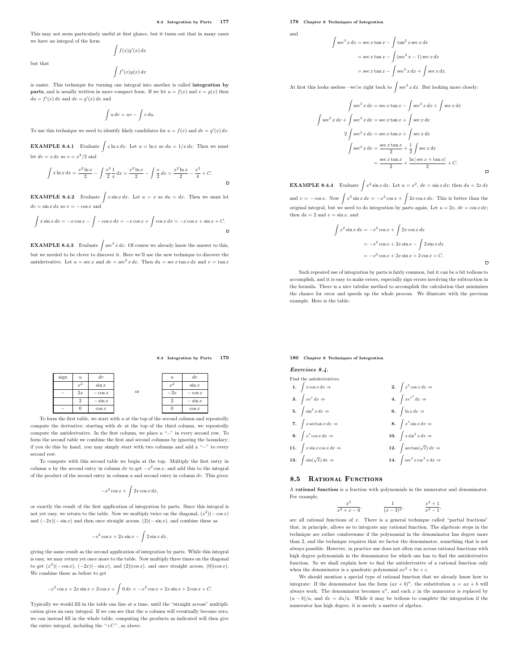$\overline{a}$ 

This may not seem particularly useful at first glance, but it turns out that in many cases we have an integral of the form  $\int f(x)g'(x) dx$ 

but that

$$
\int f'(x)g(x)\,dx
$$

is easier. This technique for turning one integral into another is called integration by **parts**, and is usually written in more compact form. If we let  $u = f(x)$  and  $v = g(x)$  then  $du = f'(x) dx$  and  $dv = g'(x) dx$  and

$$
\int u\,dv=uv-\int v\,du.
$$

To use this technique we need to identify likely candidates for  $u = f(x)$  and  $dv = g'(x) dx$ .

**EXAMPLE 8.4.1** Evaluate  $\int x \ln x \, dx$ . Let  $u = \ln x$  so  $du = 1/x \, dx$ . Then we must let  $dv = x dx$  so  $v = x^2/2$  and

$$
\int x \ln x \, dx = \frac{x^2 \ln x}{2} - \int \frac{x^2}{2} \frac{1}{x} \, dx = \frac{x^2 \ln x}{2} - \int \frac{x}{2} \, dx = \frac{x^2 \ln x}{2} - \frac{x^2}{4} + C.
$$

**EXAMPLE 8.4.2** Evaluate  $\int x \sin x \, dx$ . Let  $u = x$  so  $du = dx$ . Then we must let  $dv = \sin x dx$  so  $v = -\cos x$  and

$$
\int x \sin x \, dx = -x \cos x - \int -\cos x \, dx = -x \cos x + \int \cos x \, dx = -x \cos x + \sin x + C.
$$

**EXAMPLE 8.4.3** Evaluate  $\int \sec^3 x \, dx$ . Of course we already know the answer to this, but we needed to be clever to discover it. Here we'll use the new technique to discover the antiderivative. Let  $u = \sec x$  and  $dv = \sec^2 x dx$ . Then  $du = \sec x \tan x dx$  and  $v = \tan x$ 

### 178 Chapter 8 Techniques of Integration

Z

$$
\quad\text{and}\quad
$$

$$
\sec^3 x \, dx = \sec x \tan x - \int \tan^2 x \sec x \, dx
$$

$$
= \sec x \tan x - \int (\sec^2 x - 1) \sec x \, dx
$$

$$
= \sec x \tan x - \int \sec^3 x \, dx + \int \sec x \, dx.
$$

At first this looks useless—we're right back to  $\int \sec^3 x \, dx$ . But looking more closely:

$$
\int \sec^3 x \, dx = \sec x \tan x - \int \sec^3 x \, dx + \int \sec x \, dx
$$

$$
\int \sec^3 x \, dx + \int \sec^3 x \, dx = \sec x \tan x + \int \sec x \, dx
$$

$$
2 \int \sec^3 x \, dx = \sec x \tan x + \int \sec x \, dx
$$

$$
\int \sec^3 x \, dx = \frac{\sec x \tan x}{2} + \frac{1}{2} \int \sec x \, dx
$$

$$
= \frac{\sec x \tan x}{2} + \frac{\ln|\sec x + \tan x|}{2} + C.
$$

 $\overline{a}$ 

 $\blacksquare$ 

**EXAMPLE 8.4.4** Evaluate  $\int x^2 \sin x \, dx$ . Let  $u = x^2$ ,  $dv = \sin x \, dx$ ; then  $du = 2x \, dx$ and  $v = -\cos x$ . Now  $\int x^2 \sin x \, dx = -x^2 \cos x + \int 2x \cos x \, dx$ . This is better than the

original integral, but we need to do integration by parts again. Let  $u = 2x$ ,  $dv = \cos x dx$ ; then  $du = 2$  and  $v = \sin x$ , and

$$
\int x^2 \sin x \, dx = -x^2 \cos x + \int 2x \cos x \, dx
$$

$$
= -x^2 \cos x + 2x \sin x - \int 2 \sin x \, dx
$$

$$
= -x^2 \cos x + 2x \sin x + 2 \cos x + C.
$$

Such repeated use of integration by parts is fairly common, but it can be a bit tedious to accomplish, and it is easy to make errors, especially sign errors involving the subtraction in the formula. There is a nice tabular method to accomplish the calculation that minimizes the chance for error and speeds up the whole process. We illustrate with the previous example. Here is the table:

### 8.4 Integration by Parts 179



To form the first table, we start with  $u$  at the top of the second column and repeatedly compute the derivative; starting with  $dv$  at the top of the third column, we repeatedly compute the antiderivative. In the first column, we place a "−" in every second row. To form the second table we combine the first and second columns by ignoring the boundary; if you do this by hand, you may simply start with two columns and add a "−" to every second row.

To compute with this second table we begin at the top. Multiply the first entry in column u by the second entry in column dv to get  $-x^2 \cos x$ , and add this to the integral of the product of the second entry in column  $u$  and second entry in column  $dv$ . This gives:

$$
-x^2\cos x + \int 2x\cos x \, dx,
$$

or exactly the result of the first application of integration by parts. Since this integral is not yet easy, we return to the table. Now we multiply twice on the diagonal,  $(x^2)(-\cos x)$ and  $(-2x)(-\sin x)$  and then once straight across,  $(2)(-\sin x)$ , and combine these as

$$
-x^2\cos x + 2x\sin x - \int 2\sin x \, dx,
$$

giving the same result as the second application of integration by parts. While this integral is easy, we may return yet once more to the table. Now multiply three times on the diagonal to get  $(x^2)(-\cos x)$ ,  $(-2x)(-\sin x)$ , and  $(2)(\cos x)$ , and once straight across,  $(0)(\cos x)$ . We combine these as before to get

$$
-x^{2}\cos x + 2x\sin x + 2\cos x + \int 0 dx = -x^{2}\cos x + 2x\sin x + 2\cos x + C.
$$

Typically we would fill in the table one line at a time, until the "straight across" multiplication gives an easy integral. If we can see that the u column will eventually become zero, we can instead fill in the whole table; computing the products as indicated will then give the entire integral, including the "+ $\!C$  ", as above.

180 Chapter 8 Techniques of Integration

Exercises 8.4.

| Find the antiderivatives. |                                           |  |                                             |
|---------------------------|-------------------------------------------|--|---------------------------------------------|
|                           | 1. $\int x \cos x \, dx \Rightarrow$      |  | 2. $\int x^2 \cos x \, dx \Rightarrow$      |
|                           | 3. $\int xe^x dx \Rightarrow$             |  | 4. $\int xe^{x^2} dx \Rightarrow$           |
|                           | 5. $\int \sin^2 x dx \Rightarrow$         |  | 6. $\int \ln x dx \Rightarrow$              |
|                           | 7. $\int x \arctan x \, dx \Rightarrow$   |  | 8. $\int x^3 \sin x \, dx \Rightarrow$      |
|                           | 9. $\int x^3 \cos x \, dx \Rightarrow$    |  | 10. $\int x \sin^2 x dx \Rightarrow$        |
|                           | 11. $\int x \sin x \cos x dx \Rightarrow$ |  | 12. $\int \arctan(\sqrt{x}) dx \Rightarrow$ |
|                           | 13. $\int \sin(\sqrt{x}) dx \Rightarrow$  |  | 14. $\int \sec^2 x \csc^2 x dx$             |

### 8.5 RATIONAL FUNCTIONS

A rational function is a fraction with polynomials in the numerator and denominator. For example,

> x 3  $\frac{x^2}{x^2+x-6}$  $\frac{1}{(x-3)^2}$ x  $^{2}+1$ x  $^{2}-1$ ,

are all rational functions of  $x$ . There is a general technique called "partial fractions" that, in principle, allows us to integrate any rational function. The algebraic steps in the technique are rather cumbersome if the polynomial in the denominator has degree more than 2, and the technique requires that we factor the denominator, something that is not always possible. However, in practice one does not often run across rational functions with high degree polynomials in the denominator for which one has to find the antiderivative function. So we shall explain how to find the antiderivative of a rational function only when the denominator is a quadratic polynomial  $a x^2 + b x + c$ .

We should mention a special type of rational function that we already know how to integrate: If the denominator has the form  $(ax + b)^n$ , the substitution  $u = ax + b$  will always work. The denominator becomes  $u^n$ , and each x in the numerator is replaced by  $(u - b)/a$ , and  $dx = du/a$ . While it may be tedious to complete the integration if the numerator has high degree, it is merely a matter of algebra.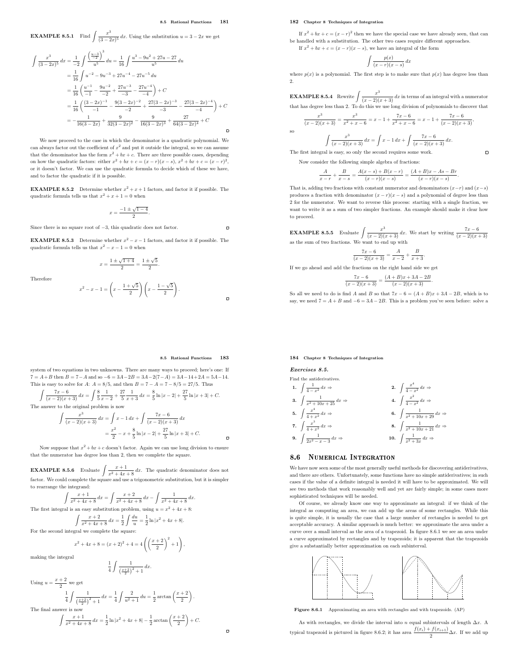**EXAMPLE 8.5.1** Find  $\int \frac{x^3}{(3-x^2)^3}$  $\frac{u}{(3-2x)^5}$  dx. Using the substitution  $u = 3 - 2x$  we get

$$
\int \frac{x^3}{(3-2x)^5} dx = \frac{1}{-2} \int \frac{\left(\frac{u-3}{2}\right)^3}{u^5} du = \frac{1}{16} \int \frac{u^3 - 9u^2 + 27u - 27}{u^5} du
$$
  
\n
$$
= \frac{1}{16} \int u^{-2} - 9u^{-3} + 27u^{-4} - 27u^{-5} du
$$
  
\n
$$
= \frac{1}{16} \left(\frac{u^{-1}}{-1} - \frac{9u^{-2}}{-2} + \frac{27u^{-3}}{-3} - \frac{27u^{-4}}{-4}\right) + C
$$
  
\n
$$
= \frac{1}{16} \left(\frac{(3-2x)^{-1}}{-1} - \frac{9(3-2x)^{-2}}{-2} + \frac{27(3-2x)^{-3}}{-3} - \frac{27(3-2x)^{-4}}{-4}\right) + C
$$
  
\n
$$
= -\frac{1}{16(3-2x)} + \frac{9}{32(3-2x)^2} - \frac{9}{16(3-2x)^3} + \frac{27}{64(3-2x)^4} + C
$$

We now proceed to the case in which the denominator is a quadratic polynomial. We can always factor out the coefficient of  $x^2$  and put it outside the integral, so we can assume that the denominator has the form  $x^2 + bx + c$ . There are three possible cases, depending on how the quadratic factors: either  $x^2 + bx + c = (x - r)(x - s), x^2 + bx + c = (x - r)^2$ , or it doesn't factor. We can use the quadratic formula to decide which of these we have, and to factor the quadratic if it is possible.

**EXAMPLE 8.5.2** Determine whether  $x^2 + x + 1$  factors, and factor it if possible. The quadratic formula tells us that  $x^2 + x + 1 = 0$  when

$$
x = \frac{-1 \pm \sqrt{1-4}}{2}.
$$

Since there is no square root of −3, this quadratic does not factor.

**EXAMPLE 8.5.3** Determine whether  $x^2 - x - 1$  factors, and factor it if possible. The quadratic formula tells us that  $x^2 - x - 1 = 0$  when

$$
x = \frac{1 \pm \sqrt{1+4}}{2} = \frac{1 \pm \sqrt{5}}{2}.
$$

Therefore

$$
x^{2} - x - 1 = \left(x - \frac{1 + \sqrt{5}}{2}\right)\left(x - \frac{1 - \sqrt{5}}{2}\right).
$$

### 182 Chapter 8 Techniques of Integration

If  $x^2 + bx + c = (x - r)^2$  then we have the special case we have already seen, that can be handled with a substitution. The other two cases require different approaches. If  $x^2 + bx + c = (x - r)(x - s)$ , we have an integral of the form

$$
\int \frac{p(x)}{(x-r)(x-s)} dx
$$

where  $p(x)$  is a polynomial. The first step is to make sure that  $p(x)$  has degree less than 2.

**EXAMPLE 8.5.4** Rewrite  $\int \frac{x^3}{(x-2)(x+3)} dx$  in terms of an integral with a numerator that has degree less than 2. To do this we use long division of polynomials to discover that

$$
\frac{x^3}{(x-2)(x+3)} = \frac{x^3}{x^2+x-6} = x-1+\frac{7x-6}{x^2+x-6} = x-1+\frac{7x-6}{(x-2)(x+3)},
$$
  
so  

$$
\int \frac{x^3}{(x-2)(x+3)} dx = \int x-1 dx + \int \frac{7x-6}{(x-2)(x+3)} dx.
$$

The first integral is easy, so only the second requires some work.

Now consider the following simple algebra of fractions:

$$
\frac{A}{x-r} + \frac{B}{x-s} = \frac{A(x-s) + B(x-r)}{(x-r)(x-s)} = \frac{(A+B)x - As - Br}{(x-r)(x-s)}.
$$

 $\blacksquare$ 

That is, adding two fractions with constant numerator and denominators  $(x-r)$  and  $(x-s)$ produces a fraction with denominator  $(x - r)(x - s)$  and a polynomial of degree less than 2 for the numerator. We want to reverse this process: starting with a single fraction, we want to write it as a sum of two simpler fractions. An example should make it clear how to proceed.

**EXAMPLE 8.5.5** Evaluate  $\int \frac{x^3}{(x-2)(x+3)} dx$ . We start by writing  $\frac{7x-6}{(x-2)(x+3)}$  as the sum of two fractions. We want to end up with

$$
\frac{7x-6}{(x-2)(x+3)} = \frac{A}{x-2} + \frac{B}{x+3}.
$$

If we go ahead and add the fractions on the right hand side we get

$$
\frac{7x-6}{(x-2)(x+3)} = \frac{(A+B)x+3A-2B}{(x-2)(x+3)}.
$$

So all we need to do is find A and B so that  $7x - 6 = (A + B)x + 3A - 2B$ , which is to say, we need  $7 = A + B$  and  $-6 = 3A - 2B$ . This is a problem you've seen before: solve a

### 184 Chapter 8 Techniques of Integration

Exercises 8.5.

 $\mathbf{1}$ .

3. <sup>Z</sup>

 $\overline{5}$ 

7. <sup>Z</sup>

 $\alpha$ 

Find the antiderivatives.  
\n1. 
$$
\int \frac{1}{4-x^2} dx \Rightarrow
$$
\n2. 
$$
\int \frac{x^4}{4-x^2} dx \Rightarrow
$$
\n3. 
$$
\int \frac{x^4}{x^2 + 10x + 25} dx \Rightarrow
$$
\n4. 
$$
\int \frac{x^2}{4-x^2} dx \Rightarrow
$$
\n5. 
$$
\int \frac{x^4}{4+x^2} dx \Rightarrow
$$
\n6. 
$$
\int \frac{x^2}{x^2 + 10x + 29} dx \Rightarrow
$$
\n7. 
$$
\int \frac{x^3}{4+x^2} dx \Rightarrow
$$
\n8. 
$$
\int \frac{1}{x^2 + 10x + 21} dx \Rightarrow
$$
\n9. 
$$
\int \frac{1}{2x^2 - x - 3} dx \Rightarrow
$$
\n10. 
$$
\int \frac{1}{x^2 + 3x} dx \Rightarrow
$$

#### 8.6 NUMERICAL INTEGRATION

We have now seen some of the most generally useful methods for discovering antiderivatives, and there are others. Unfortunately, some functions have no simple antiderivatives; in such cases if the value of a definite integral is needed it will have to be approximated. We will see two methods that work reasonably well and yet are fairly simple; in some cases more sophisticated techniques will be needed.

Of course, we already know one way to approximate an integral: if we think of the integral as computing an area, we can add up the areas of some rectangles. While this is quite simple, it is usually the case that a large number of rectangles is needed to get acceptable accuracy. A similar approach is much better: we approximate the area under a curve over a small interval as the area of a trapezoid. In figure 8.6.1 we see an area under a curve approximated by rectangles and by trapezoids; it is apparent that the trapezoids give a substantially better approximation on each subinterval.



Figure 8.6.1 Approximating an area with rectangles and with trapezoids. (AP)

As with rectangles, we divide the interval into n equal subintervals of length  $\Delta x$ . A typical trapezoid is pictured in figure 8.6.2; it has area  $\frac{f(x_i) + f(x_{i+1})}{2} \Delta x$ . If we add up

### 8.5 Rational Functions 183

 $\overline{a}$ 

 $\overline{a}$ 

 $\overline{a}$ 

 $\Box$ 

system of two equations in two unknowns. There are many ways to proceed; here's one: If  $7 = A + B$  then  $B = 7 - A$  and so  $-6 = 3A - 2B = 3A - 2(7 - A) = 3A - 14 + 2A = 5A - 14$ . This is easy to solve for A:  $A = 8/5$ , and then  $B = 7 - A = 7 - 8/5 = 27/5$ . Thus

$$
\int \frac{7x-6}{(x-2)(x+3)} dx = \int \frac{8}{5} \frac{1}{x-2} + \frac{27}{5} \frac{1}{x+3} dx = \frac{8}{5} \ln|x-2| + \frac{27}{5} \ln|x+3| + C.
$$
 The answer to the original problem is now

$$
\int \frac{x^3}{(x-2)(x+3)} dx = \int x - 1 dx + \int \frac{7x - 6}{(x-2)(x+3)} dx
$$

$$
= \frac{x^2}{2} - x + \frac{8}{5} \ln|x-2| + \frac{27}{5} \ln|x+3| + C.
$$

Now suppose that  $x^2 + bx + c$  doesn't factor. Again we can use long division to ensure that the numerator has degree less than 2, then we complete the square.

**EXAMPLE 8.5.6** Evaluate  $\int \frac{x+1}{x^2+4x+8} dx$ . The quadratic denominator does not factor. We could complete the square and use a trigonometric substitution, but it is simpler to rearrange the integrand:

$$
\int \frac{x+1}{x^2+4x+8} dx = \int \frac{x+2}{x^2+4x+8} dx - \int \frac{1}{x^2+4x+8} dx.
$$

The first integral is an easy substitution problem, using  $u = x^2 + 4x + 8$ :

$$
\int \frac{x+2}{x^2+4x+8} dx = \frac{1}{2} \int \frac{du}{u} = \frac{1}{2} \ln|x^2+4x+8|.
$$

For the second integral we complete the square:

$$
x^{2} + 4x + 8 = (x + 2)^{2} + 4 = 4\left(\left(\frac{x + 2}{2}\right)^{2} + 1\right),
$$

making the integral

$$
\frac{1}{4} \int \frac{1}{\left(\frac{x+2}{2}\right)^2 + 1} dx.
$$

Using  $u = \frac{x+2}{2}$  $\frac{1}{2}$  we get

$$
\frac{1}{4}\int \frac{1}{\left(\frac{x+2}{2}\right)^2+1} dx = \frac{1}{4}\int \frac{2}{u^2+1} du = \frac{1}{2}\arctan\left(\frac{x+2}{2}\right).
$$
  
The final answer is now

answer is now  
\n
$$
\int \frac{x+1}{x^2+4x+8} dx = \frac{1}{2} \ln|x^2+4x+8| - \frac{1}{2} \arctan\left(\frac{x+2}{2}\right) + C.
$$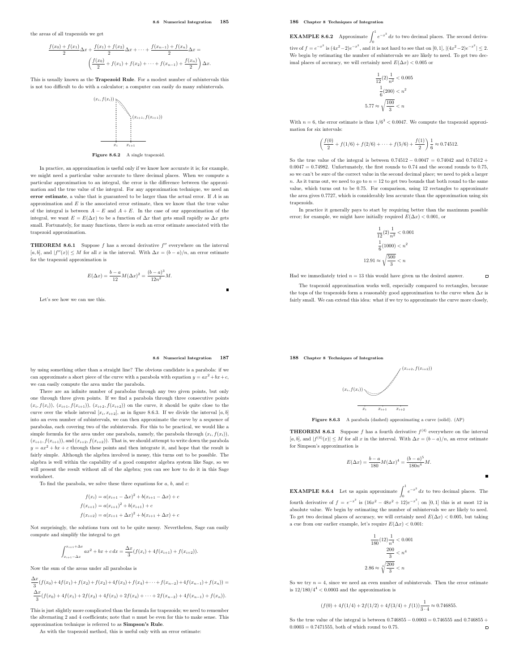the areas of all trapezoids we get

 $f(x)$ 

$$
\frac{x_0 + f(x_1)}{2} \Delta x + \frac{f(x_1) + f(x_2)}{2} \Delta x + \dots + \frac{f(x_{n-1}) + f(x_n)}{2} \Delta x =
$$

$$
\left(\frac{f(x_0)}{2} + f(x_1) + f(x_2) + \dots + f(x_{n-1}) + \frac{f(x_n)}{2}\right) \Delta x.
$$

This is usually known as the Trapezoid Rule. For a modest number of subintervals this is not too difficult to do with a calculator; a computer can easily do many subintervals.



Figure 8.6.2 A single trapezoid.

In practice, an approximation is useful only if we know how accurate it is; for example, we might need a particular value accurate to three decimal places. When we compute a particular approximation to an integral, the error is the difference between the approximation and the true value of the integral. For any approximation technique, we need an error estimate, a value that is guaranteed to be larger than the actual error. If A is an approximation and  $E$  is the associated error estimate, then we know that the true value of the integral is between  $A - E$  and  $A + E$ . In the case of our approximation of the integral, we want  $E = E(\Delta x)$  to be a function of  $\Delta x$  that gets small rapidly as  $\Delta x$  gets small. Fortunately, for many functions, there is such an error estimate associated with the trapezoid approximation.

**THEOREM 8.6.1** Suppose f has a second derivative  $f''$  everywhere on the interval  $[a, b]$ , and  $|f''(x)| \leq M$  for all x in the interval. With  $\Delta x = (b - a)/n$ , an error estimate for the trapezoid approximation is

$$
E(\Delta x) = \frac{b-a}{12}M(\Delta x)^{2} = \frac{(b-a)^{3}}{12n^{2}}M.
$$

Let's see how we can use this.

### 186 Chapter 8 Techniques of Integration

**EXAMPLE 8.6.2** Approximate  $\int_{0}^{1} e^{-x^2} dx$  to two decimal places. The second derivative of  $f = e^{-x^2}$  is  $(4x^2 - 2)e^{-x^2}$ , and it is not hard to see that on [0, 1],  $|(4x^2 - 2)e^{-x^2}| \le 2$ .

We begin by estimating the number of subintervals we are likely to need. To get two decimal places of accuracy, we will certainly need  $E(\Delta x) < 0.005$  or

$$
\frac{1}{12}(2)\frac{1}{n^2} < 0.005
$$
\n
$$
\frac{1}{6}(200) < n^2
$$
\n
$$
5.77 \approx \sqrt{\frac{100}{3}} < n
$$

With  $n = 6$ , the error estimate is thus  $1/6<sup>3</sup> < 0.0047$ . We compute the trapezoid approximation for six intervals:

$$
\left(\frac{f(0)}{2} + f(1/6) + f(2/6) + \dots + f(5/6) + \frac{f(1)}{2}\right) \frac{1}{6} \approx 0.74512.
$$

So the true value of the integral is between  $0.74512 - 0.0047 = 0.74042$  and  $0.74512 + 0.0047 = 0.74042$  $0.0047 = 0.74982$ . Unfortunately, the first rounds to 0.74 and the second rounds to 0.75. so we can't be sure of the correct value in the second decimal place; we need to pick a larger  $n.$  As it turns out, we need to go to  $n=12$  to get two bounds that both round to the same value, which turns out to be 0.75. For comparison, using 12 rectangles to approximate the area gives 0.7727, which is considerably less accurate than the approximation using six trapezoids.

In practice it generally pays to start by requiring better than the maximum possible error; for example, we might have initially required  $E(\Delta x) < 0.001$ , or

$$
\frac{1}{12}(2) \frac{1}{n^2} < 0.001
$$
\n
$$
\frac{1}{6}(1000) < n^2
$$
\n
$$
12.91 \approx \sqrt{\frac{500}{3}} < n
$$

 $\Box$ 

Had we immediately tried  $n = 13$  this would have given us the desired answer.

The trapezoid approximation works well, especially compared to rectangles, because the tops of the trapezoids form a reasonably good approximation to the curve when  $\Delta x$  is fairly small. We can extend this idea: what if we try to approximate the curve more closely,

188 Chapter 8 Techniques of Integration



Figure 8.6.3 A parabola (dashed) approximating a curve (solid). (AP)

**THEOREM 8.6.3** Suppose f has a fourth derivative  $f^{(4)}$  everywhere on the interval [a, b], and  $|f^{(4)}(x)| \leq M$  for all x in the interval. With  $\Delta x = (b - a)/n$ , an error estimate for Simpson's approximation is

$$
E(\Delta x) = \frac{b-a}{180} M (\Delta x)^4 = \frac{(b-a)^5}{180n^4} M.
$$

**EXAMPLE 8.6.4** Let us again approximate  $\int_0^1 e^{-x^2} dx$  to two decimal places. The fourth derivative of  $f = e^{-x^2}$  is  $(16x^2 - 48x^2 + 12)e^{-x^2}$ ; on [0, 1] this is at most 12 in absolute value. We begin by estimating the number of subintervals we are likely to need. To get two decimal places of accuracy, we will certainly need  $E(\Delta x) < 0.005$ , but taking a cue from our earlier example, let's require  $E(\Delta x) < 0.001$ :

$$
\frac{1}{180}(12)\frac{1}{n^4} < 0.001
$$

$$
\frac{200}{3} < n^4
$$

$$
2.86 \approx \sqrt[4]{\frac{200}{3}} < n
$$

So we try  $n = 4$ , since we need an even number of subintervals. Then the error estimate is  $12/180/4^4 < 0.0003$  and the approximation is

$$
(f(0) + 4f(1/4) + 2f(1/2) + 4f(3/4) + f(1))\frac{1}{3 \cdot 4} \approx 0.746855.
$$

So the true value of the integral is between 0.746855 − 0.0003 = 0.746555 and 0.746855 + 0.0003 = 0.7471555, both of which round to 0.75.  $0.0003 = 0.7471555$ , both of which round to 0.75.

8.6 Numerical Integration 187

by using something other than a straight line? The obvious candidate is a parabola: if we can approximate a short piece of the curve with a parabola with equation  $y = ax^2 + bx + c$ , we can easily compute the area under the parabola.

There are an infinite number of parabolas through any two given points, but only one through three given points. If we find a parabola through three consecutive points  $(x_i, f(x_i))$ ,  $(x_{i+1}, f(x_{i+1}))$ ,  $(x_{i+2}, f(x_{i+2}))$  on the curve, it should be quite close to the curve over the whole interval  $[x_i, x_{i+2}]$ , as in figure 8.6.3. If we divide the interval  $[a, b]$ into an even number of subintervals, we can then approximate the curve by a sequence of parabolas, each covering two of the subintervals. For this to be practical, we would like a simple formula for the area under one parabola, namely, the parabola through  $(x_i, f(x_i))$ ,  $(x_{i+1}, f(x_{i+1}))$ , and  $(x_{i+2}, f(x_{i+2}))$ . That is, we should attempt to write down the parabola  $y = ax^2 + bx + c$  through these points and then integrate it, and hope that the result is fairly simple. Although the algebra involved is messy, this turns out to be possible. The algebra is well within the capability of a good computer algebra system like Sage, so we will present the result without all of the algebra; you can see how to do it in this Sage worksheet.

To find the parabola, we solve these three equations for  $a, b$ , and  $c$ :

$$
f(x_i) = a(x_{i+1} - \Delta x)^2 + b(x_{i+1} - \Delta x) + c
$$

$$
f(x_{i+1}) = a(x_{i+1})^2 + b(x_{i+1}) + c
$$

$$
f(x_{i+2}) = a(x_{i+1} + \Delta x)^2 + b(x_{i+1} + \Delta x) + c
$$

Not surprisingly, the solutions turn out to be quite messy. Nevertheless, Sage can easily compute and simplify the integral to get

$$
\int_{x_{i+1}-\Delta x}^{x_{i+1}+\Delta x} ax^2 + bx + c \, dx = \frac{\Delta x}{3} (f(x_i) + 4f(x_{i+1}) + f(x_{i+2})).
$$

Now the sum of the areas under all parabolas is

$$
\frac{\Delta x}{3}(f(x_0) + 4f(x_1) + f(x_2) + f(x_2) + 4f(x_3) + f(x_4) + \dots + f(x_{n-2}) + 4f(x_{n-1}) + f(x_n)) =
$$
  

$$
\frac{\Delta x}{3}(f(x_0) + 4f(x_1) + 2f(x_2) + 4f(x_3) + 2f(x_4) + \dots + 2f(x_{n-2}) + 4f(x_{n-1}) + f(x_n)).
$$

This is just slightly more complicated than the formula for trapezoids; we need to remember the alternating 2 and 4 coefficients; note that  $n$  must be even for this to make sense. This approximation technique is referred to as Simpson's Rule.

As with the trapezoid method, this is useful only with an error estimate: